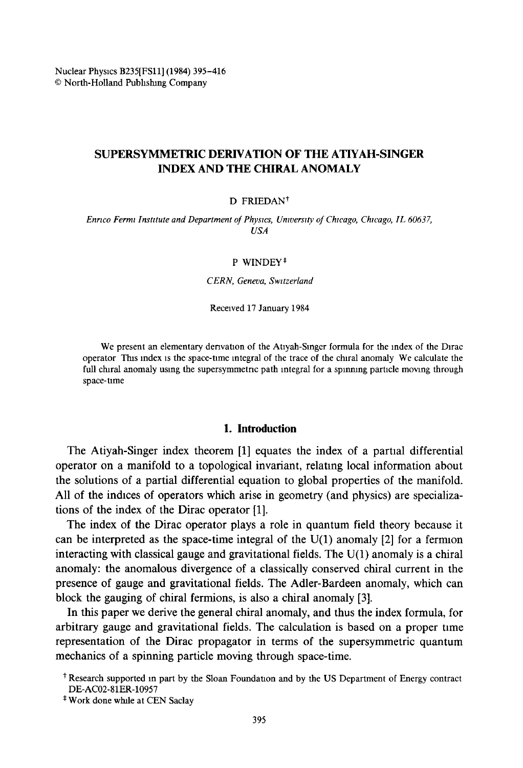# **SUPERSYMMETRIC DERIVATION OF THE** ATIYAH-SINGER INDEX AND THE CHIRAL ANOMALY

#### $D$  FRIEDAN<sup>†</sup>

*Enrico Fermi Institute and Department of Physics, University of Chicago, Chicago, IL 60637, USA* 

#### P WINDEY\*

*CERN, Geneva, Swttzerland* 

Received 17 January 1984

We present an elementary derivation of the Atiyah-Singer formula for the index of the Dirac operator Tins index is the space-time integral of the trace of the chlral anomaly We calculate the full chiral anomaly using the supersymmetric path integral for a spinning particle moving through space-time

#### **1. Introduction**

The Atiyah-Singer index theorem [1] equates the index of a partial differential operator on a manifold to a topological invariant, relating local information about the solutions of a partial differential equation to global properties of the manifold. All of the indices of operators which arise in geometry (and physics) are specializations of the index of the Dirac operator [1].

The index of the Dirac operator plays a role in quantum field theory because it can be interpreted as the space-time integral of the  $U(1)$  anomaly [2] for a fermion interacting with classical gauge and gravitational fields. The  $U(1)$  anomaly is a chiral anomaly: the anomalous divergence of a classically conserved chiral current in the presence of gauge and gravitational fields. The Adler-Bardeen anomaly, which can block the gauging of chiral fermions, is also a chiral anomaly [3].

In this paper we derive the general chiral anomaly, and thus the index formula, for arbitrary gauge and gravitational fields. The calculation is based on a proper time representation of the Dirac propagator in terms of the supersymmetric quantum mechanics of a spinning particle moving through space-time.

t Research supported in part by the Stoan Foundatton and by the US Department of Energy contract DE-AC02-81ER-10957

<sup>\*</sup> Work done whale at CEN Saclay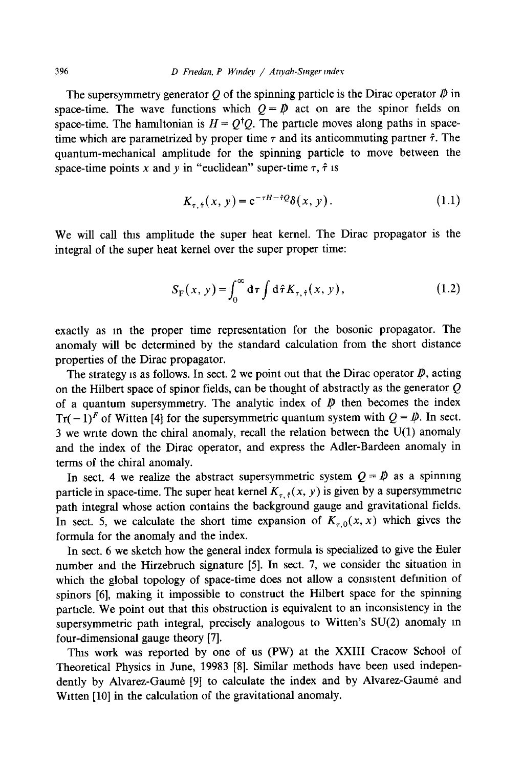The supersymmetry generator O of the spinning particle is the Dirac operator  $\mathcal D$  in space-time. The wave functions which  $Q = \mathcal{D}$  act on are the spinor fields on space-time. The hamiltonian is  $H = Q^{\dagger}Q$ . The particle moves along paths in spacetime which are parametrized by proper time  $\tau$  and its anticommuting partner  $\hat{\tau}$ . The quantum-mechanical amplitude for the spinning particle to move between the space-time points x and y in "euclidean" super-time  $\tau$ ,  $\hat{\tau}$  is

$$
K_{\tau,\hat{\tau}}(x,\,y) = e^{-\tau H - \hat{\tau}\mathcal{Q}}\delta(x,\,y). \tag{1.1}
$$

We will call this amplitude the super heat kernel. The Dirac propagator is the integral of the super heat kernel over the super proper time:

$$
S_{\mathcal{F}}(x, y) = \int_0^\infty d\tau \int d\hat{\tau} K_{\tau, \hat{\tau}}(x, y), \qquad (1.2)
$$

exactly as in the proper time representation for the bosonic propagator. The anomaly will be determined by the standard calculation from the short distance properties of the Dirac propagator.

The strategy is as follows. In sect. 2 we point out that the Dirac operator  $\mathbf{\psi}$ , acting on the Hilbert space of spinor fields, can be thought of abstractly as the generator  $Q$ of a quantum supersymmetry. The analytic index of  $\mathcal{P}$  then becomes the index  $Tr(-1)^{F}$  of Witten [4] for the supersymmetric quantum system with  $Q = \mathcal{D}$ . In sect. 3 we wnte down the chiral anomaly, recall the relation between the U(1) anomaly and the index of the Dirac operator, and express the Adler-Bardeen anomaly in terms of the chiral anomaly.

In sect. 4 we realize the abstract supersymmetric system  $Q = \mathcal{P}$  as a spinning particle in space-time. The super heat kernel  $K_{\tau, \hat{\tau}}(x, y)$  is given by a supersymmetric path integral whose action contains the background gauge and gravitational fields. In sect. 5, we calculate the short time expansion of  $K_{\tau,0}(x, x)$  which gives the formula for the anomaly and the index.

In sect. 6 we sketch how the general index formula is specialized to give the Euler number and the Hirzebruch signature [5]. In sect. 7, we consider the situation in which the global topology of space-time does not allow a consistent definition of spinors [6], making it impossible to construct the Hilbert space for the spinning particle. We point out that this obstruction is equivalent to an inconsistency in the supersymmetric path integral, precisely analogous to Witten's SU(2) anomaly m four-dimensional gauge theory [7].

This work was reported by one of us (PW) at the XXIII Cracow School of Theoretical Physics in June, 19983 [8]. Similar methods have been used independently by Alvarez-Gaumé [9] to calculate the index and by Alvarez-Gaumé and Witten [10] in the calculation of the gravitational anomaly.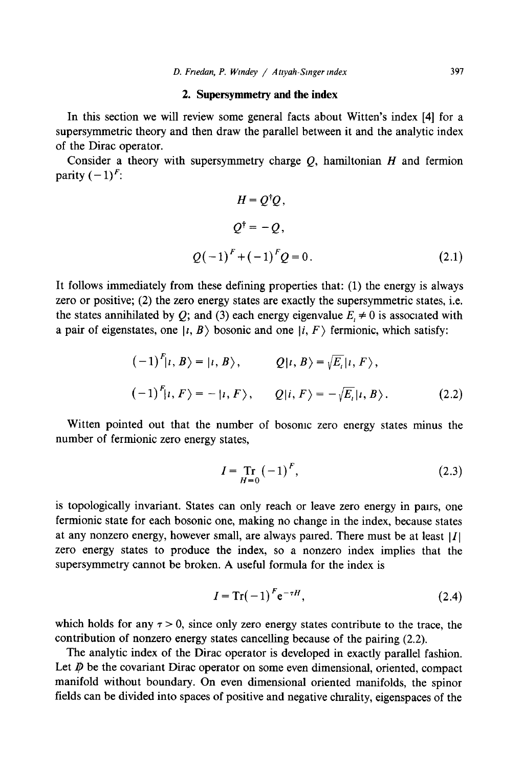### **2. Supersymmetry and the index**

In this section we will review some general facts about Witten's index [4] for a supersymmetric theory and then draw the parallel between it and the analytic index of the Dirac operator.

Consider a theory with supersymmetry charge  $O$ , hamiltonian  $H$  and fermion parity  $(-1)^F$ :

$$
H = Q^{\dagger}Q,
$$
  
\n
$$
Q^{\dagger} = -Q,
$$
  
\n
$$
Q(-1)^{F} + (-1)^{F}Q = 0.
$$
\n(2.1)

It follows immediately from these defining properties that: (1) the energy is always zero or positive; (2) the zero energy states are exactly the supersymmetric states, i.e. the states annihilated by Q; and (3) each energy eigenvalue  $E_i \neq 0$  is associated with a pair of eigenstates, one  $|i, B\rangle$  bosonic and one  $|i, F\rangle$  fermionic, which satisfy:

$$
(-1)^{F}|i, B\rangle = |i, B\rangle, \qquad Q|i, B\rangle = \sqrt{E_i}|i, F\rangle,
$$
  

$$
(-1)^{F}|i, F\rangle = -|i, F\rangle, \qquad Q|i, F\rangle = -\sqrt{E_i}|i, B\rangle.
$$
 (2.2)

Witten pointed out that the number of bosonic zero energy states minus the number of fermionic zero energy states,

$$
I = \mathop{\rm Tr}_{H=0} (-1)^F,
$$
 (2.3)

is topologically invariant. States can only reach or leave zero energy in pairs, one fermionic state for each bosonic one, making no change in the index, because states at any nonzero energy, however small, are always paired. There must be at least  $|I|$ zero energy states to produce the index, so a nonzero index implies that the supersymmetry cannot be broken. A useful formula for the index is

$$
I = \operatorname{Tr}(-1)^F e^{-\tau H},\tag{2.4}
$$

which holds for any  $\tau > 0$ , since only zero energy states contribute to the trace, the contribution of nonzero energy states cancelling because of the pairing (2.2).

The analytic index of the Dirac operator is developed in exactly parallel fashion. Let  $D\!\!\!\!/\,\,$  be the covariant Dirac operator on some even dimensional, oriented, compact manifold without boundary. On even dimensional oriented manifolds, the spinor fields can be divided into spaces of positive and negative chirality, eigenspaces of the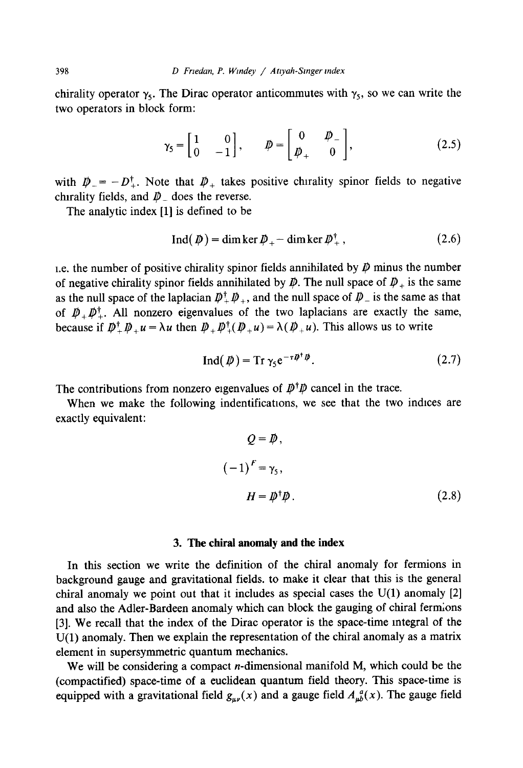chirality operator  $\gamma_5$ . The Dirac operator anticommutes with  $\gamma_5$ , so we can write the two operators in block form:

$$
\gamma_5 = \begin{bmatrix} 1 & 0 \\ 0 & -1 \end{bmatrix}, \qquad \not{D} = \begin{bmatrix} 0 & \not{D} \\ \not{D}_+ & 0 \end{bmatrix}, \tag{2.5}
$$

with  $\mathbf{D}_{-} = -D_{+}^{\dagger}$ . Note that  $\mathbf{D}_{+}$  takes positive chirality spinor fields to negative chirality fields, and  $\not\!\!\!D$   $\!\!\!$  does the reverse.

The analytic index [1] is defined to be

$$
Ind(D) = dim ker D_{+} - dim ker D_{+}^{\dagger}, \qquad (2.6)
$$

1.e. the number of positive chirality spinor fields annihilated by  $\bar{p}$  minus the number of negative chirality spinor fields annihilated by  $\rlap{\,/}D$ . The null space of  $\rlap{\,/}D_+$  is the same as the null space of the laplacian  $D^{\dagger}_+ D^{\dagger}_+$ , and the null space of  $D^-$  is the same as that of  $\mathbf{D}^*$ ,  $\mathbf{D}^*$ . All nonzero eigenvalues of the two laplacians are exactly the same, because if  $\mathbf{D}_{\perp}^{\dagger} \mathbf{D}_{\perp} u = \lambda u$  then  $\mathbf{D}_{\perp} \mathbf{D}_{\perp}^{\dagger}(\mathbf{D}_{\perp} u) = \lambda(\mathbf{D}_{\perp} u)$ . This allows us to write

$$
\operatorname{Ind}(\not\!\!D) = \operatorname{Tr}\gamma_5 e^{-\tau \not\!\!D^{\dagger}\not\!\!D}.\tag{2.7}
$$

The contributions from nonzero eigenvalues of  $D^{\dagger}D$  cancel in the trace.

When we make the following indentifications, we see that the two indices are exactly equivalent:

$$
Q = \mathcal{D},
$$
  

$$
(-1)^{F} = \gamma_{5},
$$
  

$$
H = \mathcal{D}^{\dagger} \mathcal{D}.
$$
 (2.8)

### **3. The chiral anomaly and the index**

In this section we write the definition of the chiral anomaly for fermions in background gauge and gravitational fields, to make it clear that this is the general chiral anomaly we point out that it includes as special cases the U(1) anomaly [2] and also the Adler-Bardeen anomaly which can block the gauging of chiral fermions [3]. We recall that the index of the Dirac operator is the space-time integral of the U(1) anomaly. Then we explain the representation of the chiral anomaly as a matrix dement in supersymmetric quantum mechanics.

We will be considering a compact *n*-dimensional manifold M, which could be the (compactified) space-time of a euclidean quantum field theory. This space-time is equipped with a gravitational field  $g_{\mu\nu}(x)$  and a gauge field  $A_{\mu\nu}^a(x)$ . The gauge field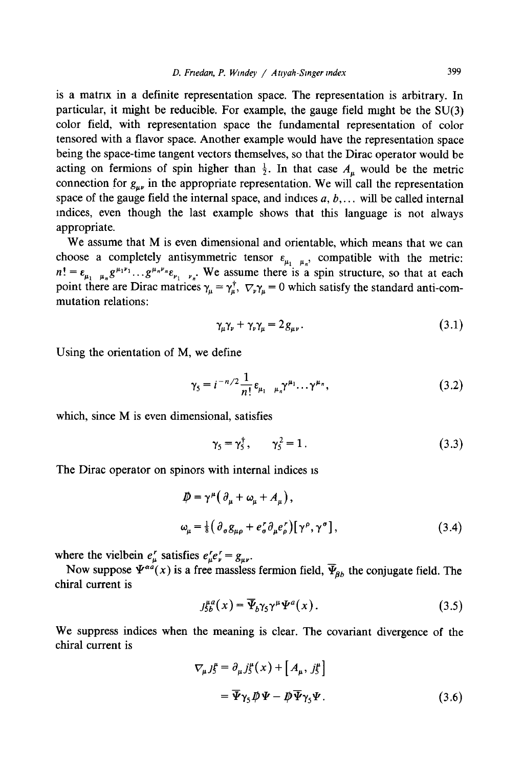is a matrix in a definite representation space. The representation is arbitrary. In particular, it might be reducible. For example, the gauge field might be the  $SU(3)$ color field, with representation space the fundamental representation of color tensored with a flavor space. Another example would have the representation space being the space-time tangent vectors themselves, so that the Dirac operator would be acting on fermions of spin higher than  $\frac{1}{2}$ . In that case  $A_{\mu}$  would be the metric connection for  $g_{\mu\nu}$  in the appropriate representation. We will call the representation space of the gauge field the internal space, and indices  $a, b, \ldots$  will be called internal indices, even though the last example shows that this language is not always appropriate.

We assume that M is even dimensional and orientable, which means that we can choose a completely antisymmetric tensor  $\varepsilon_{\mu_1 \mu_n}$ , compatible with the metric:  $n! = \varepsilon_{\mu_1 \mu_2} g^{\mu_1 \nu_1} \dots g^{\mu_n \nu_n} \varepsilon_{\nu_1 \nu_2}$ . We assume there is a spin structure, so that at each point there are Dirac matrices  $\gamma_{\mu} = \gamma_{\mu}^{T}$ ,  $\nabla_{\nu} \gamma_{\mu} = 0$  which satisfy the standard anti-commutation relations:

$$
\gamma_{\mu}\gamma_{\nu} + \gamma_{\nu}\gamma_{\mu} = 2g_{\mu\nu}.
$$
\n(3.1)

Using the orientation of M, we define

$$
\gamma_5 = i^{-n/2} \frac{1}{n!} \varepsilon_{\mu_1 \mu_n} \gamma^{\mu_1} \dots \gamma^{\mu_n}, \tag{3.2}
$$

which, since M is even dimensional, satisfies

$$
\gamma_5 = \gamma_5^{\dagger}, \qquad \gamma_5^2 = 1. \tag{3.3}
$$

The Dirac operator on spinors with internal indices is

$$
\begin{aligned} \n\mathbf{D} &= \gamma^{\mu} \big( \partial_{\mu} + \omega_{\mu} + A_{\mu} \big), \\ \n\omega_{\mu} &= \frac{1}{8} \big( \partial_{\sigma} g_{\mu \rho} + e_{\sigma}^{\prime} \partial_{\mu} e_{\rho}^{\prime} \big) \big[ \gamma^{\rho}, \gamma^{\sigma} \big], \n\end{aligned} \tag{3.4}
$$

where the vielbein  $e^r_\mu$  satisfies  $e^r_\mu e^r_\nu = g_{\mu\nu}$ .

Now suppose  $\Psi^{aa}(x)$  is a free massless fermion field,  $\overline{\Psi}_{ab}$  the conjugate field. The chiral current is

$$
J_{5b}^{\mu a}(x) = \overline{\Psi}_b \gamma_5 \gamma^{\mu} \Psi^a(x).
$$
 (3.5)

We suppress indices when the meaning is clear. The covariant divergence of the chiral current is

$$
\nabla_{\mu} J_{5}^{\mu} = \partial_{\mu} J_{5}^{\mu} (x) + [A_{\mu}, j_{5}^{\mu}]
$$
  
=  $\overline{\Psi} \gamma_{5} \overline{\mu} \Psi - \overline{\mu} \overline{\Psi} \gamma_{5} \Psi.$  (3.6)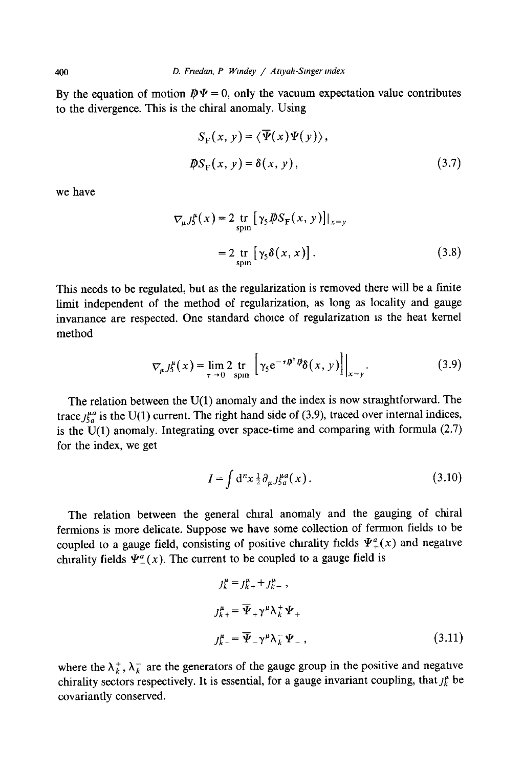By the equation of motion  $\mathbf{D}\Psi = 0$ , only the vacuum expectation value contributes to the divergence. This is the chiral anomaly. Using

$$
S_{\mathcal{F}}(x, y) = \langle \overline{\Psi}(x) \Psi(y) \rangle,
$$
  

$$
\not{D}S_{\mathcal{F}}(x, y) = \delta(x, y),
$$
 (3.7)

we have

$$
\nabla_{\mu} J_{5}^{\mu}(x) = 2 \underset{\text{spin}}{\text{tr}} [\gamma_{5} \cancel{DS}_{F}(x, y)]|_{x=y}
$$

$$
= 2 \underset{\text{spin}}{\text{tr}} [\gamma_{5} \delta(x, x)]. \tag{3.8}
$$

This needs to be regulated, but as the regularization is removed there will be a finite limit independent of the method of regularization, as long as locality and gauge invariance are respected. One standard choice of regularization is the heat kernel method

$$
\nabla_{\mu} J_{5}^{\mu}(x) = \lim_{\tau \to 0} 2 \inf_{\text{spin}} \left[ \gamma_{5} e^{-\tau \not{D}^{\dagger} \not{D}} \delta(x, y) \right] \Big|_{x=y}.
$$
 (3.9)

The relation between the  $U(1)$  anomaly and the index is now straightforward. The trace  $J_{5a}^{\mu a}$  is the U(1) current. The right hand side of (3.9), traced over internal indices, is the  $U(1)$  anomaly. Integrating over space-time and comparing with formula (2.7) for the index, we get

$$
I = \int d^n x \frac{1}{2} \partial_\mu J_{g}^{\mu a}(x) \,. \tag{3.10}
$$

The relation between the general chiral anomaly and the gauging of chiral fermions is more delicate. Suppose we have some collection of fermion fields to be coupled to a gauge field, consisting of positive chirality fields  $\Psi^a_+(x)$  and negative chirality fields  $\Psi^a(x)$ . The current to be coupled to a gauge field is

$$
J_{k}^{\mu} = J_{k+}^{\mu} + J_{k-}^{\mu},
$$
  
\n
$$
J_{k+}^{\mu} = \overline{\Psi}_{+} \gamma^{\mu} \lambda_{k}^{+} \Psi_{+}
$$
  
\n
$$
J_{k-}^{\mu} = \overline{\Psi}_{-} \gamma^{\mu} \lambda_{k}^{-} \Psi_{-},
$$
\n(3.11)

where the  $\lambda_k^+$ ,  $\lambda_k^-$  are the generators of the gauge group in the positive and negative chirality sectors respectively. It is essential, for a gauge invariant coupling, that  $j_k^{\mu}$  be covariantly conserved.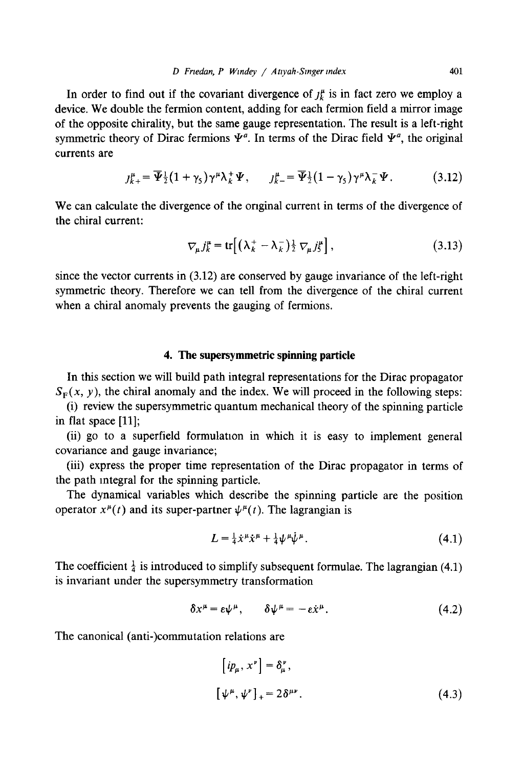In order to find out if the covariant divergence of  $j_k^{\mu}$  is in fact zero we employ a device. We double the fermion content, adding for each fermion field a mirror image of the opposite chirality, but the same gauge representation. The result is a left-right symmetric theory of Dirac fermions  $\Psi^a$ . In terms of the Dirac field  $\Psi^a$ , the original currents are

$$
J_{k+}^{\mu} = \overline{\Psi}_{\overline{2}}^{\mu} (1 + \gamma_5) \gamma^{\mu} \lambda_k^+ \Psi, \qquad J_{k-}^{\mu} = \overline{\Psi}_{\overline{2}}^{\mu} (1 - \gamma_5) \gamma^{\mu} \lambda_k^- \Psi. \tag{3.12}
$$

We can calculate the divergence of the original current in terms of the divergence of the chiral current:

$$
\nabla_{\mu} j_{k}^{\mu} = \text{tr}\Big[ \big( \lambda_{k}^{+} - \lambda_{k}^{-} \big) \tfrac{1}{2} \nabla_{\mu} j_{S}^{\mu} \Big], \tag{3.13}
$$

since the vector currents in (3.12) are conserved by gauge invariance of the left-right symmetric theory. Therefore we can tell from the divergence of the chiral current when a chiral anomaly prevents the gauging of fermions.

# **4. The supersymmetric spinning particle**

In this section we will build path integral representations for the Dirac propagator  $S_F(x, y)$ , the chiral anomaly and the index. We will proceed in the following steps:

(i) review the supersymmetric quantum mechanical theory of the spinning particle in flat space [11];

(ii) go to a superfield formulation in which it is easy to implement general covariance and gauge invariance;

(iii) express the proper time representation of the Dirac propagator in terms of the path integral for the spinning particle.

The dynamical variables which describe the spinning particle are the position operator  $x^{\mu}(t)$  and its super-partner  $\psi^{\mu}(t)$ . The lagrangian is

$$
L = \frac{1}{4}\dot{x}^{\mu}\dot{x}^{\mu} + \frac{1}{4}\psi^{\mu}\dot{\psi}^{\mu}.
$$
 (4.1)

The coefficient  $\frac{1}{4}$  is introduced to simplify subsequent formulae. The lagrangian (4.1) is invariant under the supersymmetry transformation

$$
\delta x^{\mu} = \varepsilon \psi^{\mu}, \qquad \delta \psi^{\mu} = -\varepsilon \dot{x}^{\mu}. \tag{4.2}
$$

The canonical (anti-)commutation relations are

$$
[ip_{\mu}, x^{\nu}] = \delta_{\mu}^{\nu},
$$
  

$$
[\psi^{\mu}, \psi^{\nu}]_{+} = 2\delta^{\mu\nu}.
$$
 (4.3)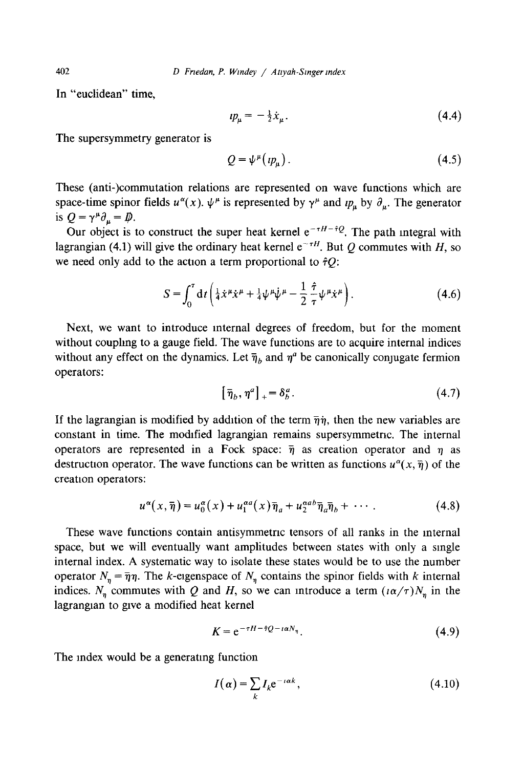In "euclidean" time,

$$
up_{\mu} = -\frac{1}{2}\dot{x}_{\mu}.
$$
\n(4.4)

The supersymmetry generator is

$$
Q = \psi^{\mu}(v_{\mu}). \tag{4.5}
$$

These (anti-)commutation relations are represented on wave functions which are space-time spinor fields  $u^{\alpha}(x)$ .  $\psi^{\mu}$  is represented by  $\gamma^{\mu}$  and  $ip_{\mu}$  by  $\partial_{\mu}$ . The generator is  $Q = \gamma^{\mu} \partial_{\mu} = D \dot{\mu}$ .

Our object is to construct the super heat kernel  $e^{-\tau H - \hat{\tau}Q}$ . The path integral with lagrangian (4.1) will give the ordinary heat kernel  $e^{-\tau H}$ . But Q commutes with H, so we need only add to the action a term proportional to  $\hat{\tau}Q$ :

$$
S = \int_0^{\tau} dt \left( \frac{1}{4} \dot{x}^{\mu} \dot{x}^{\mu} + \frac{1}{4} \psi^{\mu} \dot{\psi}^{\mu} - \frac{1}{2} \frac{\hat{\tau}}{\tau} \psi^{\mu} \dot{x}^{\mu} \right).
$$
 (4.6)

Next, we want to introduce internal degrees of freedom, but for the moment without couphng to a gauge field. The wave functions are to acquire internal indices without any effect on the dynamics. Let  $\bar{\eta}_b$  and  $\eta^a$  be canonically conjugate fermion operators:

$$
\left[\overline{\eta}_b, \eta^a\right]_+ = \delta^a_b. \tag{4.7}
$$

If the lagrangian is modified by addition of the term  $\bar{\eta}\eta$ , then the new variables are constant in time. The modified lagrangian remains supersymmetnc. The internal operators are represented in a Fock space:  $\bar{\eta}$  as creation operator and  $\eta$  as destruction operator. The wave functions can be written as functions  $u^{\alpha}(x, \bar{\eta})$  of the creation operators:

$$
u^{\alpha}(x,\overline{\eta}) = u_0^{\alpha}(x) + u_1^{\alpha a}(x)\overline{\eta}_a + u_2^{\alpha ab}\overline{\eta}_a\overline{\eta}_b + \cdots
$$
 (4.8)

These wave functions contain antisymmetric tensors of all ranks in the internal space, but we will eventually want amplitudes between states with only a single internal index. A systematic way to isolate these states would be to use the number operator  $N_n = \overline{\eta} \eta$ . The k-eigenspace of  $N_n$  contains the spinor fields with k internal indices. N<sub>n</sub> commutes with Q and H, so we can introduce a term  $(i\alpha/\tau)N_n$  in the lagrangian to give a modified heat kernel

$$
K = e^{-\tau H - \hat{\tau}Q - \iota \alpha N_{\eta}}.
$$
 (4.9)

The index would be a generating function

$$
I(\alpha) = \sum_{k} I_k e^{-i\alpha k},
$$
\n(4.10)

402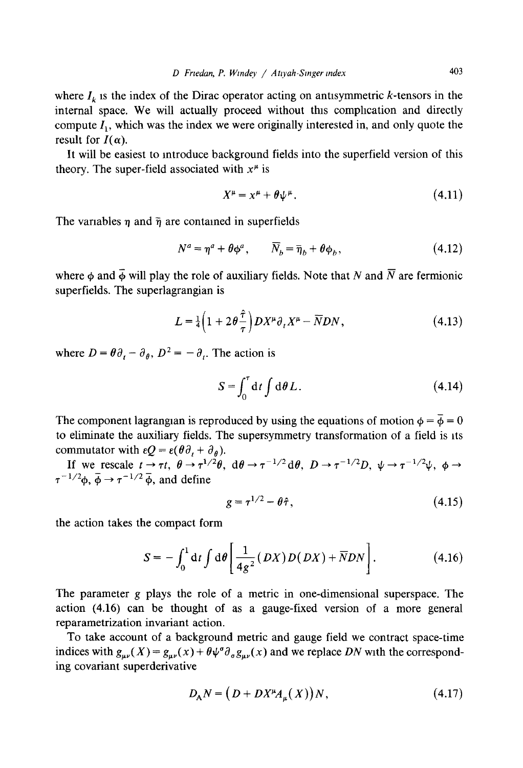where  $I_k$  is the index of the Dirac operator acting on antisymmetric k-tensors in the internal space. We will actually proceed without this complication and directly compute  $I_1$ , which was the index we were originally interested in, and only quote the result for  $I(\alpha)$ .

It will be easiest to introduce background fields into the superfield version of this theory. The super-field associated with  $x^{\mu}$  is

$$
X^{\mu} = x^{\mu} + \theta \psi^{\mu}.
$$
 (4.11)

The variables  $\eta$  and  $\bar{\eta}$  are contained in superfields

$$
N^a = \eta^a + \theta \phi^a, \qquad \overline{N}_b = \overline{\eta}_b + \theta \phi_b, \qquad (4.12)
$$

where  $\phi$  and  $\bar{\phi}$  will play the role of auxiliary fields. Note that N and  $\bar{N}$  are fermionic superfields. The superlagrangian is

$$
L = \frac{1}{4} \left( 1 + 2\theta \frac{\hat{\tau}}{\tau} \right) D X^{\mu} \partial_{\tau} X^{\mu} - \overline{N} D N, \qquad (4.13)
$$

where  $D = \theta \partial_{t} - \partial_{\theta}$ ,  $D^{2} = -\partial_{t}$ . The action is

$$
S = \int_0^{\tau} dt \int d\theta L. \qquad (4.14)
$$

The component lagrangian is reproduced by using the equations of motion  $\phi = \overline{\phi} = 0$ to eliminate the auxiliary fields. The supersymmetry transformation of a field is its commutator with  $\epsilon Q = \epsilon(\theta \partial_t + \partial_{\theta}).$ 

If we rescale  $t \to \tau t$ ,  $\theta \to \tau^{1/2}\theta$ ,  $d\theta \to \tau^{-1/2}d\theta$ ,  $D \to \tau^{-1/2}D$ ,  $\psi \to \tau^{-1/2}\psi$ ,  $\phi \to \tau$  $\tau^{-1/2}\phi$ ,  $\bar{\phi} \rightarrow \tau^{-1/2} \bar{\phi}$ , and define

$$
g = \tau^{1/2} - \theta \hat{\tau}, \qquad (4.15)
$$

the action takes the compact form

$$
S = -\int_0^1 dt \int d\theta \left[ \frac{1}{4g^2} (DX) D(DX) + \overline{N} DN \right]. \tag{4.16}
$$

The parameter g plays the role of a metric in one-dimensional superspace. The action (4.16) can be thought of as a gauge-fixed version of a more general reparametrization invariant action.

To take account of a background metric and gauge field we contract space-time indices with  $g_{\mu\nu}(X) = g_{\mu\nu}(x) + \theta \psi^{\sigma} \partial_{\sigma} g_{\mu\nu}(x)$  and we replace *DN* with the corresponding covariant superderivative

$$
D_A N = \left( D + D X^\mu A_\mu(X) \right) N, \tag{4.17}
$$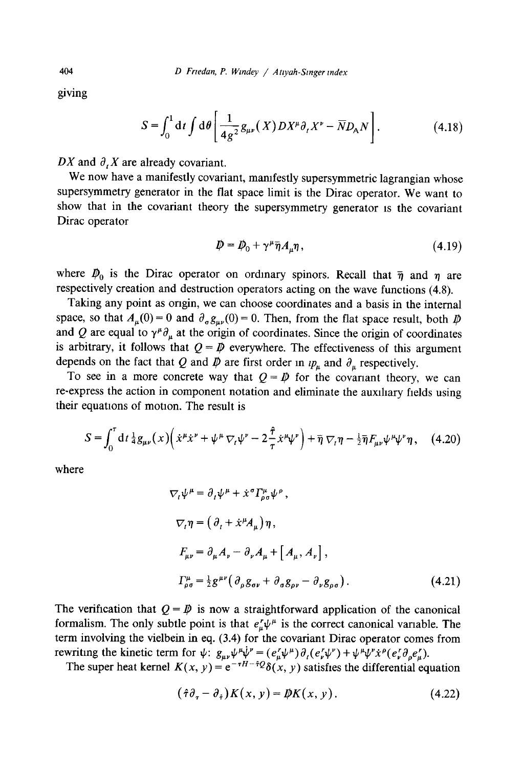giving

$$
S = \int_0^1 \mathrm{d}t \int \mathrm{d}\theta \left[ \frac{1}{4g^2} g_{\mu\nu}(X) DX^{\mu} \partial_t X^{\nu} - \overline{N} D_{\mathsf{A}} N \right]. \tag{4.18}
$$

*DX* and  $\partial$ , *X* are already covariant.

We now have a manifestly covariant, manifestly supersymmetric lagrangian whose supersymmetry generator in the flat space limit is the Dirac operator. We want to show that in the covariant theory the supersymmetry generator is the covariant Dirac operator

$$
\mathbf{D} = \mathbf{D}_0 + \gamma^\mu \bar{\eta} A_\mu \eta \,, \tag{4.19}
$$

where  $\mathcal{D}_0$  is the Dirac operator on ordinary spinors. Recall that  $\bar{\eta}$  and  $\eta$  are respectively creation and destruction operators acting on the wave functions (4.8).

Taking any point as origin, we can choose coordinates and a basis in the internal space, so that  $A_\mu(0) = 0$  and  $\partial_\sigma g_{\mu\nu}(0) = 0$ . Then, from the flat space result, both  $D$ and Q are equal to  $\gamma^{\mu}\partial_{\mu}$  at the origin of coordinates. Since the origin of coordinates is arbitrary, it follows that  $Q = \mathbb{D}$  everywhere. The effectiveness of this argument depends on the fact that Q and  $\bar{\psi}$  are first order in  $\nu_{\mu}$  and  $\partial_{\mu}$  respectively.

To see in a more concrete way that  $Q = \mathcal{D}$  for the covariant theory, we can re-express the action in component notation and eliminate the auxiliary fields using their equations of motion. The result is

$$
S = \int_0^{\tau} dt \, \frac{1}{4} g_{\mu\nu}(x) \left( \dot{x}^{\mu} \dot{x}^{\nu} + \psi^{\mu} \, \nabla_t \psi^{\nu} - 2 \frac{\hat{\tau}}{\tau} \dot{x}^{\mu} \psi^{\nu} \right) + \bar{\eta} \, \nabla_t \eta - \frac{1}{2} \bar{\eta} F_{\mu\nu} \psi^{\mu} \psi^{\nu} \eta \,, \tag{4.20}
$$

where

$$
\nabla_{t}\psi^{\mu} = \partial_{t}\psi^{\mu} + \dot{x}^{\sigma}\Gamma_{\rho\sigma}^{\mu}\psi^{\rho},
$$
  
\n
$$
\nabla_{t}\eta = \left(\partial_{t} + \dot{x}^{\mu}A_{\mu}\right)\eta,
$$
  
\n
$$
F_{\mu\nu} = \partial_{\mu}A_{\nu} - \partial_{\nu}A_{\mu} + \left[A_{\mu}, A_{\nu}\right],
$$
  
\n
$$
\Gamma_{\rho\sigma}^{\mu} = \frac{1}{2}g^{\mu\nu}\left(\partial_{\rho}g_{\sigma\nu} + \partial_{\sigma}g_{\rho\nu} - \partial_{\nu}g_{\rho\sigma}\right).
$$
 (4.21)

The verification that  $Q = \mathcal{P}$  is now a straightforward application of the canonical formalism. The only subtle point is that  $e^r_\mu \psi^\mu$  is the correct canonical variable. The term involving the vielbein in eq. (3.4) for the covariant Dirac operator comes from *rewriting the kinetic term for*  $\psi$ *:*  $g_{\mu\nu}\psi^{\mu}\dot{\psi}^{\nu} = (e_{\mu}^r\psi^{\mu})\partial_{i}(e_{\nu}^r\psi^{\nu}) + \psi^{\mu}\psi^{\nu}\dot{x}^{\rho}(e_{\nu}^r\partial_{\rho}e_{\mu}^r)$ .

The super heat kernel  $K(x, y) = e^{-\tau H - \tau Q} \delta(x, y)$  satisfies the differential equation

$$
(\hat{\tau}\partial_{\tau}-\partial_{\hat{\tau}})K(x,y)=\bar{\psi}K(x,y). \qquad (4.22)
$$

404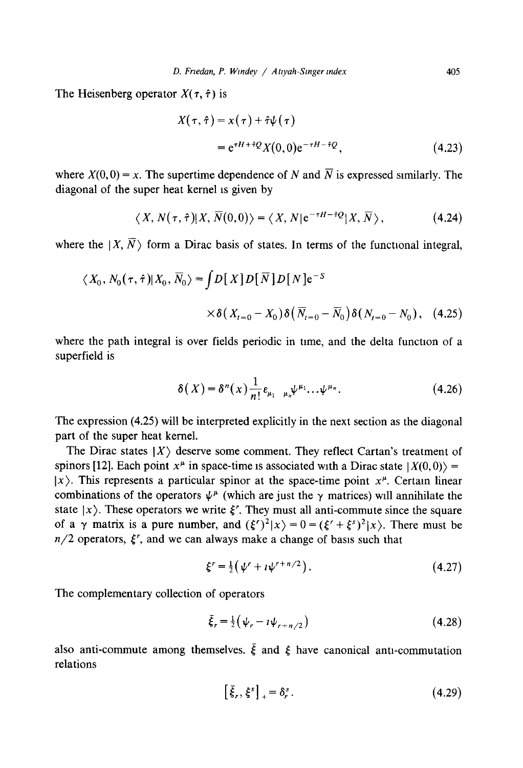The Heisenberg operator  $X(\tau, \hat{\tau})$  is

$$
X(\tau, \hat{\tau}) = x(\tau) + \hat{\tau}\psi(\tau)
$$
  
=  $e^{\tau H + \hat{\tau}Q}X(0, 0)e^{-\tau H - \hat{\tau}Q},$  (4.23)

where  $X(0, 0) = x$ . The supertime dependence of N and  $\overline{N}$  is expressed similarly. The diagonal of the super heat kernel is given by

$$
\langle X, N(\tau, \hat{\tau}) | X, \overline{N}(0,0) \rangle = \langle X, N | e^{-\tau H - \hat{\tau}Q} | X, \overline{N} \rangle, \tag{4.24}
$$

where the  $|X, \overline{N}\rangle$  form a Dirac basis of states. In terms of the functional integral,

$$
\langle X_0, N_0(\tau, \hat{\tau}) | X_0, \overline{N}_0 \rangle = \int D[X] D[\overline{N}] D[N] e^{-S}
$$
  
 
$$
\times \delta(X_{t=0} - X_0) \delta(\overline{N}_{t=0} - \overline{N}_0) \delta(N_{t=0} - N_0), \quad (4.25)
$$

where the path integral is over fields periodic in time, and the delta function of a superfield is

$$
\delta(X) = \delta^{n}(x) \frac{1}{n!} \varepsilon_{\mu_1 \mu_n} \psi^{\mu_1} \dots \psi^{\mu_n}.
$$
 (4.26)

The expression (4.25) will be interpreted explicitly in the next section as the diagonal part of the super heat kernel.

The Dirac states  $|X\rangle$  deserve some comment. They reflect Cartan's treatment of spinors [12]. Each point  $x^{\mu}$  in space-time is associated with a Dirac state  $|X(0,0)\rangle =$  $|x\rangle$ . This represents a particular spinor at the space-time point  $x^{\mu}$ . Certain linear combinations of the operators  $\psi^{\mu}$  (which are just the  $\gamma$  matrices) will annihilate the state  $|x\rangle$ . These operators we write  $\xi^r$ . They must all anti-commute since the square of a  $\gamma$  matrix is a pure number, and  $({\xi'})^2|x\rangle = 0 = ({\xi'} + {\xi^s})^2|x\rangle$ . There must be  $n/2$  operators,  $\xi'$ , and we can always make a change of basis such that

$$
\xi^r = \frac{1}{2} \left( \psi^r + i \psi^{r+n/2} \right). \tag{4.27}
$$

The complementary collection of operators

$$
\bar{\xi}_r = \frac{1}{2} \left( \psi_r - i \psi_{r + n/2} \right) \tag{4.28}
$$

also anti-commute among themselves.  $\bar{\xi}$  and  $\xi$  have canonical anti-commutation relations

$$
\left[\bar{\xi}_r, \xi^s\right]_+ = \delta^s_r. \tag{4.29}
$$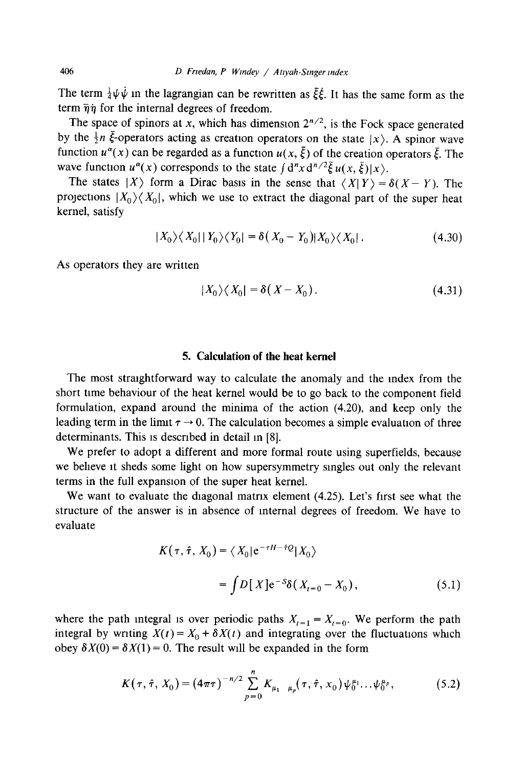The term  $\frac{1}{4}\psi\dot{\psi}$  in the lagrangian can be rewritten as  $\dot{\xi}\dot{\xi}$ . It has the same form as the term  $\bar{\eta}\dot{\eta}$  for the internal degrees of freedom.

The space of spinors at x, which has dimension  $2^{n/2}$ , is the Fock space generated by the  $\frac{1}{2}n \bar{\xi}$ -operators acting as creation operators on the state  $|x\rangle$ . A spinor wave function  $u^{\alpha}(x)$  can be regarded as a function  $u(x, \bar{\xi})$  of the creation operators  $\bar{\xi}$ . The wave function  $u^{\alpha}(x)$  corresponds to the state  $\int d^{n}x d^{n/2}\bar{\xi} u(x, \bar{\xi})|x\rangle$ .

The states  $|X\rangle$  form a Dirac basis in the sense that  $\langle X|Y\rangle = \delta(X-Y)$ . The projections  $|X_0\rangle\langle X_0|$ , which we use to extract the diagonal part of the super heat kernel, satisfy

$$
|X_0\rangle\langle X_0||Y_0\rangle\langle Y_0| = \delta(X_0 - Y_0)|X_0\rangle\langle X_0|.\tag{4.30}
$$

As operators they are written

$$
|X_0\rangle\langle X_0| = \delta(X - X_0). \tag{4.31}
$$

# **5. Calculation of the heat kernel**

The most straightforward way to calculate the anomaly and the index from the short time behaviour of the heat kernel would be to go back to the component field formulation, expand around the minima of the action (4.20), and keep only the leading term in the limit  $\tau \rightarrow 0$ . The calculation becomes a simple evaluation of three determinants. This is described in detail in [8].

We prefer to adopt a different and more formal route using superfields, because we believe it sheds some light on how supersymmetry singles out only the relevant terms in the full expansion of the super heat kernel.

We want to evaluate the diagonal matrix element (4.25). Let's first see what the structure of the answer is in absence of internal degrees of freedom. We have to evaluate

$$
K(\tau, \hat{\tau}, X_0) = \langle X_0 | e^{-\tau H - \hat{\tau}Q} | X_0 \rangle
$$
  
= 
$$
\int D[X] e^{-S} \delta(X_{t=0} - X_0),
$$
 (5.1)

where the path integral is over periodic paths  $X_{t=1} = X_{t=0}$ . We perform the path integral by writing  $X(t) = X_0 + \delta X(t)$  and integrating over the fluctuations which obey  $\delta X(0) = \delta X(1) = 0$ . The result will be expanded in the form

$$
K(\tau, \hat{\tau}, X_0) = (4\pi\tau)^{-n/2} \sum_{p=0}^{n} K_{\mu_1 \mu_p}(\tau, \hat{\tau}, X_0) \psi_0^{\mu_1} \dots \psi_0^{\mu_p},
$$
 (5.2)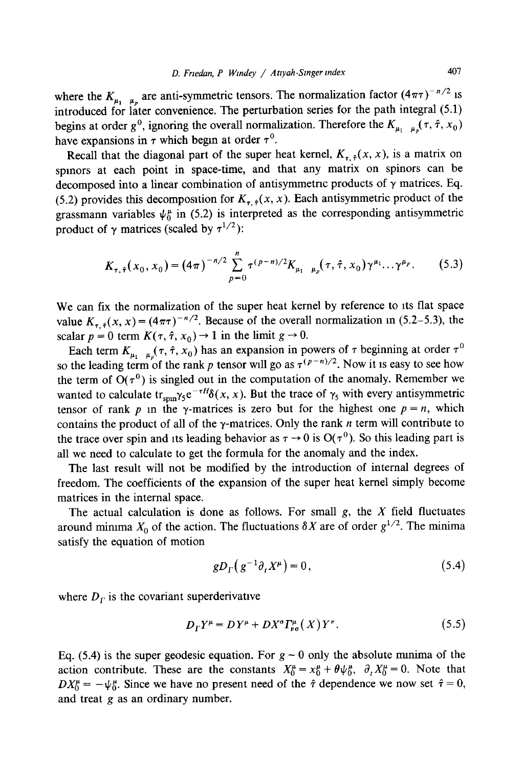where the  $K_{\mu_1,\mu_\rho}$  are anti-symmetric tensors. The normalization factor  $(4\pi\tau)^{-n/2}$  is introduced for later convenience. The perturbation series for the path integral (5.1) begins at order  $g^0$ , ignoring the overall normalization. Therefore the  $K_{\mu_1 \mu_2}(\tau, \hat{\tau}, x_0)$ have expansions in  $\tau$  which begin at order  $\tau^0$ .

Recall that the diagonal part of the super heat kernel,  $K_{n+1}(x, x)$ , is a matrix on spmors at each point in space-time, and that any matrix on spinors can be decomposed into a linear combination of antisymmetric products of  $\gamma$  matrices. Eq. (5.2) provides this decomposition for  $K_{\tau \hat{i}}(x, x)$ . Each antisymmetric product of the grassmann variables  $\psi_0^{\mu}$  in (5.2) is interpreted as the corresponding antisymmetric product of  $\gamma$  matrices (scaled by  $\tau^{1/2}$ ):

$$
K_{\tau,\hat{\tau}}(x_0,x_0) = (4\pi)^{-n/2} \sum_{p=0}^n \tau^{(p-n)/2} K_{\mu_1,\mu_p}(\tau,\hat{\tau},x_0) \gamma^{\mu_1} \dots \gamma^{\mu_p}.
$$
 (5.3)

We can fix the normalization of the super heat kernel by reference to its flat space value  $K_{r, \hat{\tau}}(x, x) = (4\pi\tau)^{-n/2}$ . Because of the overall normalization in (5.2–5.3), the scalar  $p = 0$  term  $K(\tau, \hat{\tau}, x_0) \rightarrow 1$  in the limit  $g \rightarrow 0$ .

Each term  $K_{\mu_1,\mu_2}(\tau, \hat{\tau}, x_0)$  has an expansion in powers of  $\tau$  beginning at order  $\tau^0$ so the leading term of the rank p tensor will go as  $\hat{\tau}^{(p-n)/2}$ . Now it is easy to see how the term of  $O(\tau^0)$  is singled out in the computation of the anomaly. Remember we wanted to calculate  $tr_{\text{sun}}\gamma_5 e^{-\tau H}\delta(x, x)$ . But the trace of  $\gamma_5$  with every antisymmetric tensor of rank p in the  $\gamma$ -matrices is zero but for the highest one  $p = n$ , which contains the product of all of the  $\gamma$ -matrices. Only the rank n term will contribute to the trace over spin and its leading behavior as  $\tau \to 0$  is  $O(\tau^0)$ . So this leading part is all we need to calculate to get the formula for the anomaly and the index.

The last result will not be modified by the introduction of internal degrees of freedom. The coefficients of the expansion of the super heat kernel simply become matrices in the internal space.

The actual calculation is done as follows. For small  $g$ , the  $X$  field fluctuates around minima  $X_0$  of the action. The fluctuations  $\delta X$  are of order  $g^{1/2}$ . The minima satisfy the equation of motion

$$
gD_{\Gamma}\left(g^{-1}\partial_{t}X^{\mu}\right)=0,\tag{5.4}
$$

where  $D<sub>r</sub>$  is the covariant superderivative

$$
D_{\Gamma}Y^{\mu} = DY^{\mu} + DX^{\sigma}\Gamma_{\nu\sigma}^{\mu}(X)Y^{\nu}.
$$
 (5.5)

Eq. (5.4) is the super geodesic equation. For  $g \sim 0$  only the absolute minima of the action contribute. These are the constants  $X_0^{\mu} = x_0^{\mu} + \theta \psi_0^{\mu}$ ,  $\partial_t X_0^{\mu} = 0$ . Note that  $DX_0^{\mu} = -\psi_0^{\mu}$ . Since we have no present need of the  $\hat{\tau}$  dependence we now set  $\hat{\tau} = 0$ , and treat g as an ordinary number.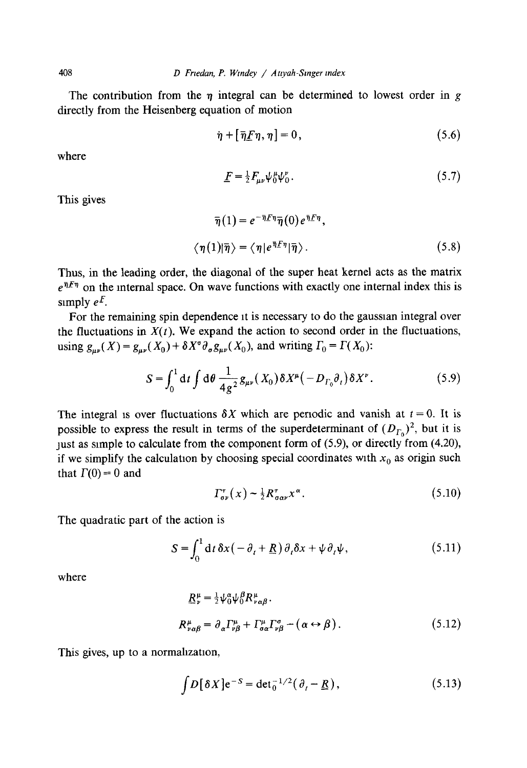The contribution from the  $\eta$  integral can be determined to lowest order in g directly from the Heisenberg equation of motion

$$
\dot{\eta} + [\bar{\eta}F\eta, \eta] = 0, \qquad (5.6)
$$

where

$$
\underline{F} = \frac{1}{2} F_{\mu\nu} \psi_0^{\mu} \psi_0^{\nu} . \tag{5.7}
$$

This gives

$$
\overline{\eta}(1) = e^{-\overline{\eta}E\eta} \overline{\eta}(0) e^{\overline{\eta}E\eta},
$$

$$
\langle \eta(1)|\overline{\eta}\rangle = \langle \eta|e^{\overline{\eta}E\eta}|\overline{\eta}\rangle.
$$
(5.8)

Thus, in the leading order, the diagonal of the super heat kernel acts as the matrix  $e^{\bar{\eta}E\eta}$  on the internal space. On wave functions with exactly one internal index this is simply  $e^F$ .

For the remaining spin dependence it is necessary to do the gaussian integral over the fluctuations in  $X(t)$ . We expand the action to second order in the fluctuations, using  $g_{\mu\nu}(X) = g_{\mu\nu}(X_0) + \delta X^{\sigma} \partial_{\sigma} g_{\mu\nu}(X_0)$ , and writing  $\Gamma_0 = \Gamma(X_0)$ :

$$
S = \int_0^1 dt \int d\theta \frac{1}{4g^2} g_{\mu\nu}(X_0) \delta X^{\mu}(-D_{\Gamma_0}\partial_t) \delta X^{\nu}.
$$
 (5.9)

The integral is over fluctuations  $\delta X$  which are periodic and vanish at  $t = 0$ . It is possible to express the result in terms of the superdeterminant of  $(D_{\Gamma_0})^2$ , but it is just as simple to calculate from the component form of (5.9), or directly from (4.20), if we simplify the calculation by choosing special coordinates with  $x_0$  as origin such that  $\Gamma(0) = 0$  and

$$
\Gamma^{\tau}_{\sigma\nu}(x) \sim \frac{1}{2} R^{\tau}_{\sigma\alpha\nu} x^{\alpha}.
$$
 (5.10)

The quadratic part of the action is

$$
S = \int_0^1 dt \, \delta x \left( -\partial_t + \underline{R} \right) \partial_t \delta x + \psi \partial_t \psi, \tag{5.11}
$$

where

$$
R^{\mu}_{\nu} = \frac{1}{2} \psi^{\alpha}_{0} \psi^{\beta}_{0} R^{\mu}_{\nu \alpha \beta}.
$$
  
\n
$$
R^{\mu}_{\nu \alpha \beta} = \partial_{\alpha} \Gamma^{\mu}_{\nu \beta} + \Gamma^{\mu}_{\sigma \alpha} \Gamma^{\sigma}_{\nu \beta} - (\alpha \leftrightarrow \beta).
$$
 (5.12)

This gives, up to a normalization,

$$
\int D[\delta X] e^{-S} = \det_0^{-1/2} (\partial_t - \underline{R}), \qquad (5.13)
$$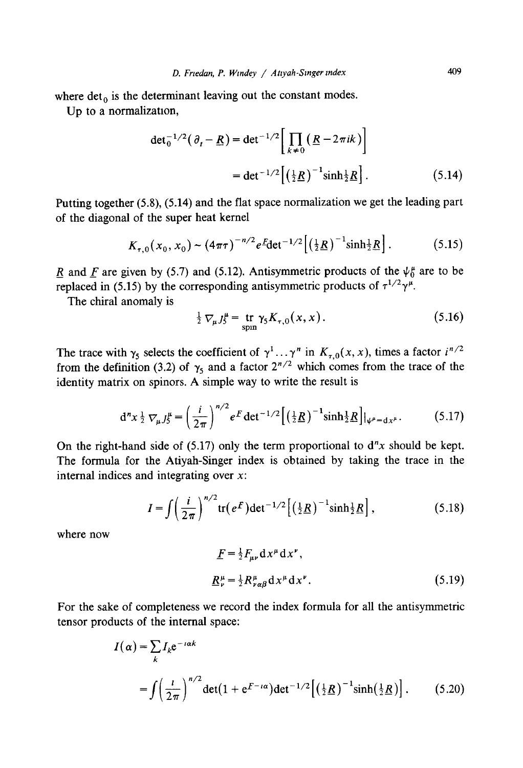where  $det_0$  is the determinant leaving out the constant modes.

Up to a normalization,

$$
\det_0^{-1/2}(\partial_t - \underline{R}) = \det^{-1/2} \left[ \prod_{k \neq 0} \left( \underline{R} - 2\pi i k \right) \right]
$$
  
= 
$$
\det^{-1/2} \left[ \left( \frac{1}{2} \underline{R} \right)^{-1} \sinh \frac{1}{2} \underline{R} \right].
$$
 (5.14)

Putting together (5.8), (5.14) and the flat space normalization we get the leading part of the diagonal of the super heat kernel

$$
K_{\tau,0}(x_0,x_0) \sim (4\pi\tau)^{-n/2} e^{\mathcal{E}} \det^{-1/2} \left[ \left( \frac{1}{2} \underline{R} \right)^{-1} \sinh \frac{1}{2} \underline{R} \right]. \tag{5.15}
$$

R and F are given by (5.7) and (5.12). Antisymmetric products of the  $\psi_0^{\mu}$  are to be replaced in (5.15) by the corresponding antisymmetric products of  $\tau^{1/2}\gamma^{\mu}$ .

The chiral anomaly is

$$
\frac{1}{2} \nabla_{\mu} J_{5}^{\mu} = \frac{\text{tr}}{\text{spin}} \gamma_{5} K_{\tau,0}(x, x). \tag{5.16}
$$

The trace with  $\gamma_5$  selects the coefficient of  $\gamma^1 \dots \gamma^n$  in  $K_{\tau,0}(x, x)$ , times a factor  $i^{n/2}$ from the definition (3.2) of  $\gamma_5$  and a factor  $2^{n/2}$  which comes from the trace of the identity matrix on spinors. A simple way to write the result is

$$
d^{n}x \frac{1}{2} \nabla_{\mu} J_{5}^{\mu} = \left(\frac{i}{2\pi}\right)^{n/2} e^{F} \det^{-1/2} \left[ \left(\frac{1}{2} \underline{R}\right)^{-1} \sinh \frac{1}{2} \underline{R} \right] |_{\psi^{\mu} = dx^{\mu}}.
$$
 (5.17)

On the right-hand side of (5.17) only the term proportional to  $d''x$  should be kept. The formula for the Atiyah-Singer index is obtained by taking the trace in the internal indices and integrating over x:

$$
I = \int \left(\frac{i}{2\pi}\right)^{n/2} \text{tr}(e^F) \det^{-1/2} \left[\left(\frac{1}{2}\underline{R}\right)^{-1} \sinh \frac{1}{2}\underline{R}\right],\tag{5.18}
$$

where now

$$
\underline{F} = \frac{1}{2} F_{\mu\nu} \, \mathrm{d}x^{\mu} \, \mathrm{d}x^{\nu},
$$
\n
$$
\underline{R}^{\mu}_{\nu} = \frac{1}{2} R^{\mu}_{\nu\alpha\beta} \, \mathrm{d}x^{\mu} \, \mathrm{d}x^{\nu}. \tag{5.19}
$$

For the sake of completeness we record the index formula for all the antisymmetric tensor products of the internal space:

$$
I(\alpha) = \sum_{k} I_k e^{-i\alpha k}
$$
  
= 
$$
\int \left(\frac{l}{2\pi}\right)^{n/2} \det(1 + e^{F - i\alpha}) \det^{-1/2} \left[\left(\frac{1}{2}R\right)^{-1} \sinh\left(\frac{1}{2}R\right)\right].
$$
 (5.20)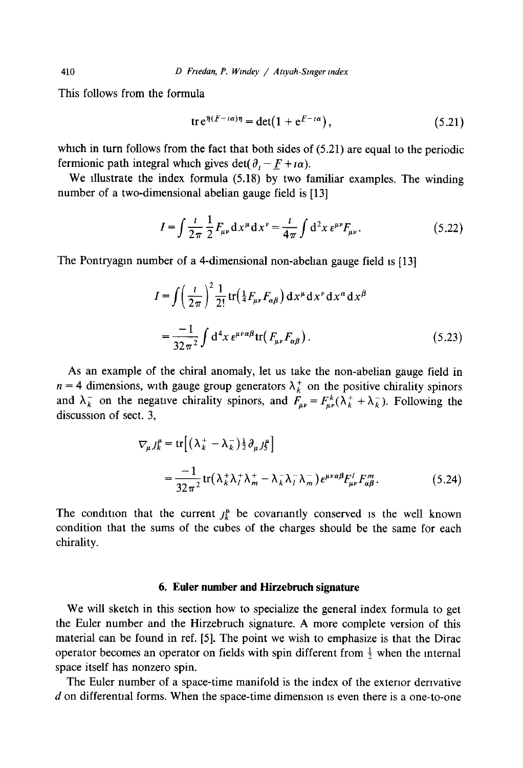This follows from the formula

$$
\operatorname{tr} \mathrm{e}^{\overline{\eta}(F - i\alpha)\eta} = \det(1 + \mathrm{e}^{F - i\alpha}),\tag{5.21}
$$

which in turn follows from the fact that both sides of  $(5.21)$  are equal to the periodic fermionic path integral which gives det( $\partial_t - F + i\alpha$ ).

We illustrate the index formula (5.18) by two familiar examples. The winding number of a two-dimensional abelian gauge field is [13]

$$
I = \int \frac{i}{2\pi} \frac{1}{2} F_{\mu\nu} \, dx^{\mu} \, dx^{\nu} = \frac{i}{4\pi} \int d^2 x \, \epsilon^{\mu\nu} F_{\mu\nu}.
$$
 (5.22)

The Pontryagin number of a 4-dimensional non-abelian gauge field is [13]

$$
I = \int \left(\frac{l}{2\pi}\right)^2 \frac{1}{2!} \operatorname{tr}\left(\frac{1}{4} F_{\mu\nu} F_{\alpha\beta}\right) \mathrm{d}x^\mu \mathrm{d}x^\nu \mathrm{d}x^\alpha \mathrm{d}x^\beta
$$

$$
= \frac{-1}{32\pi^2} \int \mathrm{d}^4x \, e^{\mu\nu\alpha\beta} \operatorname{tr}\left(F_{\mu\nu} F_{\alpha\beta}\right). \tag{5.23}
$$

As an example of the chiral anomaly, let us take the non-abelian gauge field in  $n = 4$  dimensions, with gauge group generators  $\lambda_k^+$  on the positive chirality spinors and  $\lambda_k^-$  on the negative chirality spinors, and  $F_{\mu\nu} = F_{\mu\nu}^k(\lambda_k^+ + \lambda_k^-)$ . Following the discussion of sect. 3,

$$
\nabla_{\mu} J_{k}^{\mu} = \text{tr} \left[ \left( \lambda_{k}^{+} - \lambda_{k}^{-} \right) \frac{1}{2} \partial_{\mu} J_{2}^{\mu} \right]
$$
\n
$$
= \frac{-1}{32 \pi^{2}} \text{tr} \left( \lambda_{k}^{+} \lambda_{l}^{+} \lambda_{m}^{+} - \lambda_{k}^{-} \lambda_{l}^{-} \lambda_{m}^{-} \right) e^{\mu \nu \alpha \beta} F_{\mu \nu}^{l} F_{\alpha \beta}^{m}. \qquad (5.24)
$$

The condition that the current  $j_k^{\mu}$  be covariantly conserved is the well known condition that the sums of the cubes of the charges should be the same for each chirality.

## **6. Euler number and Hirzebruch signature**

We will sketch in this section how to specialize the general index formula to get the Euler number and the Hirzebruch signature. A more complete version of this material can be found in ref. [5]. The point we wish to emphasize is that the Dirac operator becomes an operator on fields with spin different from  $\frac{1}{2}$  when the internal space itself has nonzero spin.

The Euler number of a space-time manifold is the index of the exterior derivative  $d$  on differential forms. When the space-time dimension is even there is a one-to-one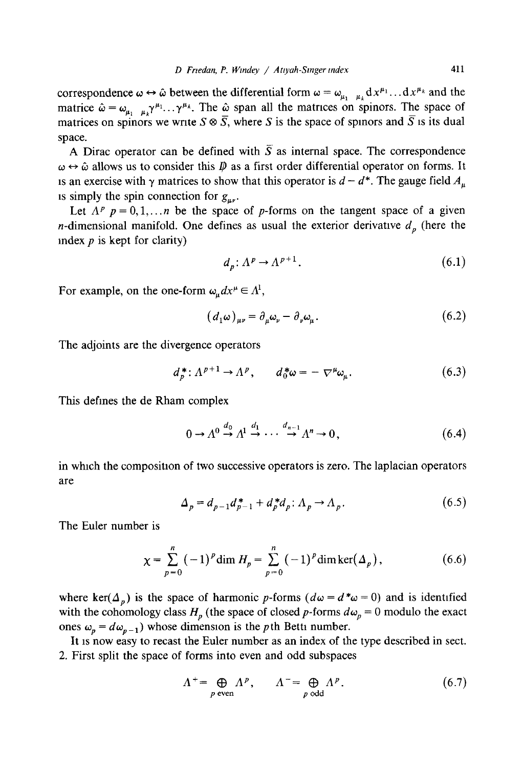correspondence  $\omega \leftrightarrow \hat{\omega}$  between the differential form  $\omega = \omega_{\mu_1 \dots \mu_k} dx^{\mu_1} \dots dx^{\mu_k}$  and the matrice  $\hat{\omega} = \omega_{\mu_1} \mu_k \gamma^{\mu_1} \dots \gamma^{\mu_k}$ . The  $\hat{\omega}$  span all the matrices on spinors. The space of matrices on spinors we write  $S \otimes \overline{S}$ , where S is the space of spinors and  $\overline{S}$  is its dual space.

A Dirac operator can be defined with  $\overline{S}$  as internal space. The correspondence  $\omega \leftrightarrow \hat{\omega}$  allows us to consider this  $\hat{p}$  as a first order differential operator on forms. It is an exercise with  $\gamma$  matrices to show that this operator is  $d - d^*$ . The gauge field  $A_u$ is simply the spin connection for  $g_{\mu\nu}$ .

Let  $A^p$   $p = 0, 1, \ldots, n$  be the space of p-forms on the tangent space of a given *n*-dimensional manifold. One defines as usual the exterior derivative  $d<sub>p</sub>$  (here the index  $p$  is kept for clarity)

$$
d_n: \Lambda^p \to \Lambda^{p+1}.
$$
 (6.1)

For example, on the one-form  $\omega_u dx^{\mu} \in \Lambda^1$ ,

$$
\left(d_1\omega\right)_{\mu\nu} = \partial_\mu\omega_\nu - \partial_\nu\omega_\mu. \tag{6.2}
$$

The adjoints are the divergence operators

$$
d_p^* \colon \Lambda^{p+1} \to \Lambda^p, \qquad d_0^* \omega = -\nabla^\mu \omega_\mu. \tag{6.3}
$$

This defines the de Rham complex

$$
0 \to \Lambda^0 \xrightarrow{d_0} \Lambda^1 \xrightarrow{d_1} \cdots \xrightarrow{d_{n-1}} \Lambda^n \to 0, \tag{6.4}
$$

in which the composition of two successive operators is zero. The laplacian operators are

$$
\Delta_p = d_{p-1}d_{p-1}^* + d_p^*d_p; \Lambda_p \to \Lambda_p. \tag{6.5}
$$

The Euler number is

$$
\chi = \sum_{p=0}^{n} (-1)^p \dim H_p = \sum_{p=0}^{n} (-1)^p \dim \ker(\Delta_p), \tag{6.6}
$$

where ker( $\Delta_n$ ) is the space of harmonic p-forms ( $d\omega = d^*\omega = 0$ ) and is identified with the cohomology class  $H_p$  (the space of closed p-forms  $d\omega_p = 0$  modulo the exact ones  $\omega_p = d\omega_{p-1}$ ) whose dimension is the pth Betti number.

It is now easy to recast the Euler number as an index of the type described in sect. 2. First split the space of forms into even and odd subspaces

$$
\Lambda^{+} = \bigoplus_{p \text{ even}} \Lambda^{p}, \qquad \Lambda^{-} = \bigoplus_{p \text{ odd}} \Lambda^{p}. \tag{6.7}
$$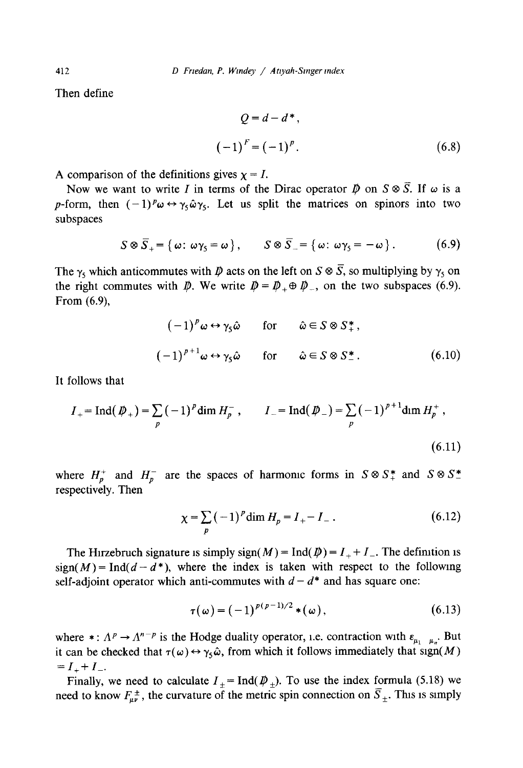Then define

$$
Q = d - d^*,
$$
  

$$
(-1)^F = (-1)^p.
$$
 (6.8)

A comparison of the definitions gives 
$$
\chi = I
$$
.

Now we want to write I in terms of the Dirac operator  $\vec{p}$  on  $S \otimes \overline{S}$ . If  $\omega$  is a p-form, then  $(-1)^{p} \omega \leftrightarrow \gamma_5 \hat{\omega} \gamma_5$ . Let us split the matrices on spinors into two subspaces

$$
S \otimes \overline{S}_+ = \{ \omega \colon \omega \gamma_5 = \omega \}, \qquad S \otimes \overline{S}_- = \{ \omega \colon \omega \gamma_5 = -\omega \}.
$$
 (6.9)

The  $\gamma_5$  which anticommutes with  $\rlap{\,/}D$  acts on the left on  $S \otimes \bar{S}$ , so multiplying by  $\gamma_5$  on the right commutes with  $\vec{p}$ . We write  $\vec{p} = \vec{p}_+ \oplus \vec{p}_-$ , on the two subspaces (6.9). From (6.9),

$$
(-1)^{p} \omega \leftrightarrow \gamma_{5} \hat{\omega} \quad \text{for} \quad \hat{\omega} \in S \otimes S_{+}^{*},
$$
  

$$
(-1)^{p+1} \omega \leftrightarrow \gamma_{5} \hat{\omega} \quad \text{for} \quad \hat{\omega} \in S \otimes S_{-}^{*}.
$$
 (6.10)

It follows that

$$
I_{+} = \text{Ind}(\not{D}_{+}) = \sum_{p} (-1)^{p} \dim H_{p}^{-}, \qquad I_{-} = \text{Ind}(\not{D}_{-}) = \sum_{p} (-1)^{p+1} \dim H_{p}^{+},
$$
\n(6.11)

where  $H_p^+$  and  $H_p^-$  are the spaces of harmonic forms in  $S \otimes S^*$  and  $S \otimes S^*$ respectively. Then

$$
\chi = \sum_{p} (-1)^{p} \dim H_{p} = I_{+} - I_{-} \,. \tag{6.12}
$$

The Hirzebruch signature is simply sign( $M$ ) = Ind( $\bar{\psi}$ ) =  $I_{+} + I_{-}$ . The definition is  $sign(M) = Ind(d-d^*)$ , where the index is taken with respect to the following self-adjoint operator which anti-commutes with  $d-d^*$  and has square one:

$$
\tau(\omega) = (-1)^{p(p-1)/2} * (\omega), \qquad (6.13)
$$

where  $\ast : \Lambda^p \to \Lambda^{n-p}$  is the Hodge duality operator, i.e. contraction with  $\varepsilon_{\mu_1 \dots \mu_n}$ . But it can be checked that  $\tau(\omega) \leftrightarrow \gamma_5 \hat{\omega}$ , from which it follows immediately that sign(M)  $=I_{+}+I_{-}.$ 

Finally, we need to calculate  $I_+= \text{Ind}(\phi_+).$  To use the index formula (5.18) we need to know  $F_{\mu\nu}^{\pm}$ , the curvature of the metric spin connection on  $\overline{S}_+$ . This is simply

412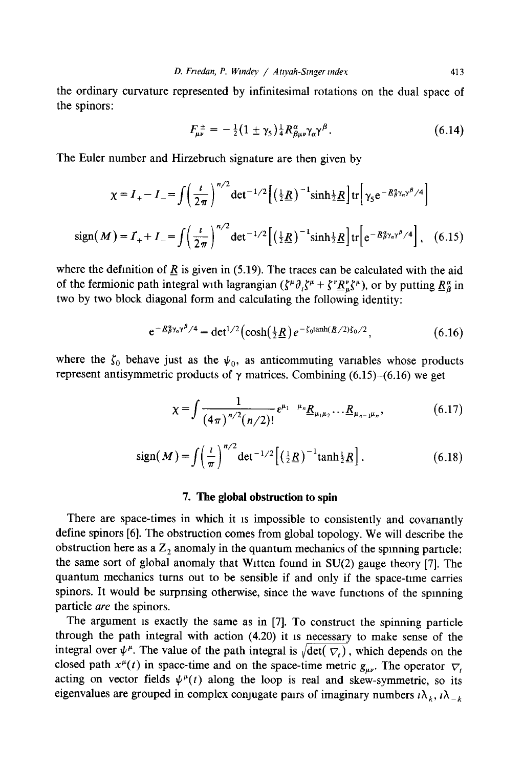the ordinary curvature represented by infinitesimal rotations on the dual space of the spinors:

$$
F_{\mu\nu}^{\pm} = -\frac{1}{2} (1 \pm \gamma_5) \frac{1}{4} R^{\alpha}_{\beta\mu\nu} \gamma_{\alpha} \gamma^{\beta}.
$$
 (6.14)

The Euler number and Hirzebruch signature are then given by

$$
\chi = I_{+} - I_{-} = \int \left(\frac{l}{2\pi}\right)^{n/2} \det^{-1/2} \left[\left(\frac{1}{2}\underline{R}\right)^{-1} \sinh\frac{1}{2}\underline{R}\right] \text{tr}\left[\gamma_{5} e^{-\underline{R}_{\beta}^{\alpha} \gamma_{\alpha} \gamma^{\beta}/4}\right]
$$
  
sign(M) = I\_{+} + I\_{-} =  $\int \left(\frac{l}{2\pi}\right)^{n/2} \det^{-1/2} \left[\left(\frac{1}{2}\underline{R}\right)^{-1} \sinh\frac{1}{2}\underline{R}\right] \text{tr}\left[e^{-\underline{R}_{\beta}^{\alpha} \gamma_{\alpha} \gamma^{\beta}/4}\right],$  (6.15)

where the definition of  $\overline{R}$  is given in (5.19). The traces can be calculated with the aid of the fermionic path integral with lagrangian  $(\zeta^{\mu}\partial_{i}\zeta^{\mu} + \zeta^{\nu}\underline{R}_{\mu}^{\nu}\zeta^{\mu})$ , or by putting  $\underline{R}_{B}^{\alpha}$  in two by two block diagonal form and calculating the following identity:

$$
e^{-\underline{R}\beta\gamma_a\gamma^B/4} = det^{1/2}(\cosh(\tfrac{1}{2}\underline{R})e^{-\zeta_0\tanh(\underline{R}/2)\zeta_0/2},\tag{6.16}
$$

where the  $\zeta_0$  behave just as the  $\psi_0$ , as anticommuting variables whose products represent antisymmetric products of  $\gamma$  matrices. Combining (6.15)–(6.16) we get

$$
\chi = \int \frac{1}{(4\pi)^{n/2} (n/2)!} \epsilon^{\mu_1 \quad \mu_n} \underline{R}_{\mu_1 \mu_2} \dots \underline{R}_{\mu_{n-1} \mu_n}, \tag{6.17}
$$

sign(M) = 
$$
\int \left(\frac{l}{\pi}\right)^{n/2} \det^{-1/2} \left[ \left(\frac{1}{2}\underline{R}\right)^{-1} \tanh \frac{1}{2}\underline{R} \right].
$$
 (6.18)

# **7. The global obstruction to spin**

There are space-times in which it is impossible to consistently and covariantly define spinors [6]. The obstruction comes from global topology. We will describe the obstruction here as a  $Z_2$  anomaly in the quantum mechanics of the spinning particle: the same sort of global anomaly that Wltten found in SU(2) gauge theory [7]. The quantum mechanics turns out to be sensible if and only if the space-time carries spinors. It would be surprising otherwise, since the wave functions of the spinning particle *are* the spinors.

The argument is exactly the same as in [7]. To construct the spinning particle through the path integral with action (4.20) it is necessary to make sense of the integral over  $\psi^{\mu}$ . The value of the path integral is  $\sqrt{\det (\nabla_{t})}$ , which depends on the closed path  $x^{\mu}(t)$  in space-time and on the space-time metric  $g_{\mu\nu}$ . The operator  $\nabla$ , acting on vector fields  $\psi^{\mu}(t)$  along the loop is real and skew-symmetric, so its eigenvalues are grouped in complex conjugate pairs of imaginary numbers  $i\lambda_k$ ,  $i\lambda_{-k}$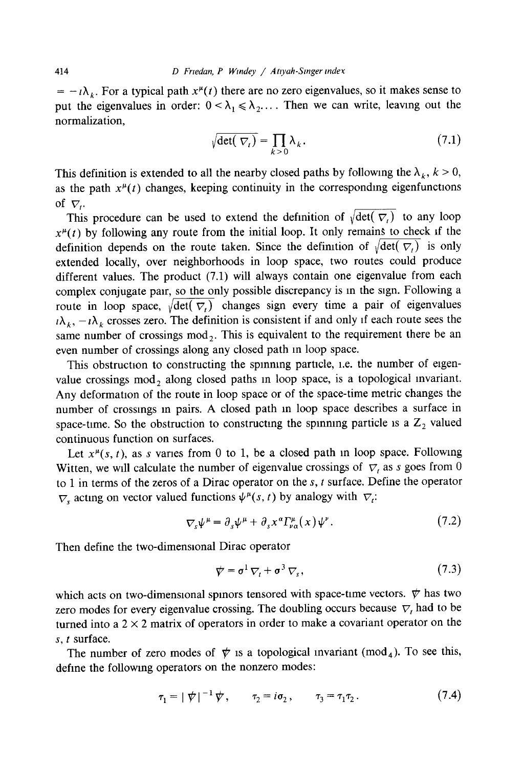$= -i\lambda_k$ . For a typical path  $x^{\mu}(t)$  there are no zero eigenvalues, so it makes sense to put the eigenvalues in order:  $0 < \lambda_1 \le \lambda_2$ .... Then we can write, leaving out the normalization,

$$
\sqrt{\det(\nabla_t)} = \prod_{k>0} \lambda_k.
$$
 (7.1)

This definition is extended to all the nearby closed paths by following the  $\lambda_k$ ,  $k > 0$ , as the path  $x^{\mu}(t)$  changes, keeping continuity in the corresponding eigenfunctions of  $\nabla$ .

This procedure can be used to extend the definition of  $\sqrt{\det(\nabla f)}$  to any loop  $x^{\mu}(t)$  by following any route from the initial loop. It only remains to check if the definition depends on the route taken. Since the definition of  $\sqrt{\det(\nabla_t)}$  is only extended locally, over neighborhoods in loop space, two routes could produce different values. The product (7.1) will always contain one eigenvalue from each complex conjugate pair, so the only possible discrepancy is in the sign. Following a route in loop space,  $\sqrt{\det(\overline{V})}$  changes sign every time a pair of eigenvalues  $t\lambda_k$ ,  $-t\lambda_k$  crosses zero. The definition is consistent if and only if each route sees the same number of crossings  $mod_2$ . This is equivalent to the requirement there be an even number of crossings along any closed path in loop space.

This obstruction to constructing the spinning particle, i.e. the number of eigenvalue crossings  $mod_2$  along closed paths in loop space, is a topological invariant. Any deformation of the route in loop space or of the space-time metric changes the number of crossmgs m pairs. A closed path m loop space describes a surface in space-time. So the obstruction to constructing the spinning particle is a  $Z_2$  valued continuous function on surfaces.

Let  $x^{\mu}(s, t)$ , as s varies from 0 to 1, be a closed path in loop space. Following Witten, we will calculate the number of eigenvalue crossings of  $\nabla_t$  as s goes from 0 to 1 in terms of the zeros of a Dirac operator on the  $s$ ,  $t$  surface. Define the operator  $\nabla_s$  acting on vector valued functions  $\psi^{\mu}(s, t)$  by analogy with  $\nabla_t$ :

$$
\nabla_{\mathbf{v}} \psi^{\mu} = \partial_{\mathbf{v}} \psi^{\mu} + \partial_{\mathbf{v}} \chi^{\alpha} \Gamma_{\nu \alpha}^{\mu}(x) \psi^{\nu}.
$$
 (7.2)

Then define the two-dimensional Dirac operator

$$
\psi = \sigma^1 \nabla_t + \sigma^3 \nabla_s, \qquad (7.3)
$$

which acts on two-dimensional spinors tensored with space-time vectors.  $\psi$  has two zero modes for every eigenvalue crossing. The doubling occurs because  $\nabla$ , had to be turned into a  $2 \times 2$  matrix of operators in order to make a covariant operator on the s, t surface.

The number of zero modes of  $\psi$  is a topological invariant (mod<sub>4</sub>). To see this, define the following operators on the nonzero modes:

$$
\tau_1 = |\psi|^{-1} \psi, \qquad \tau_2 = i \sigma_2, \qquad \tau_3 = \tau_1 \tau_2. \tag{7.4}
$$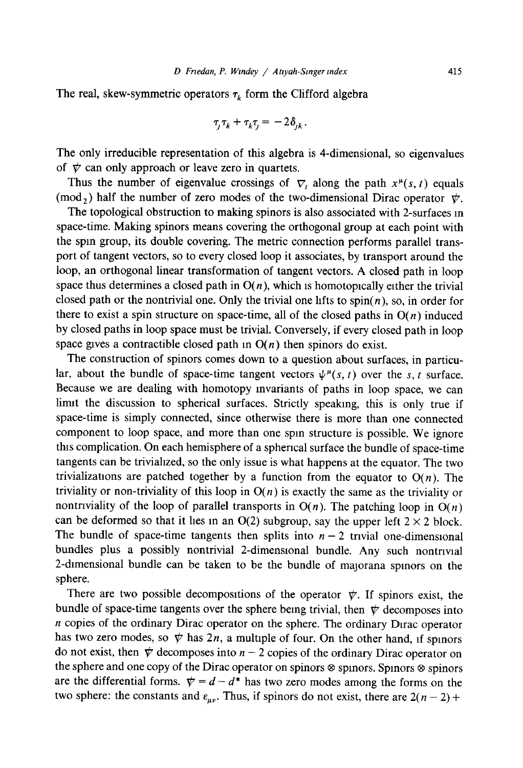The real, skew-symmetric operators  $\tau_k$  form the Clifford algebra

$$
\tau_j \tau_k + \tau_k \tau_j = -2\delta_{jk}.
$$

The only irreducible representation of this algebra is 4-dimensional, so eigenvalues of  $~\nabla$  can only approach or leave zero in quartets.

Thus the number of eigenvalue crossings of  $\nabla$ , along the path  $x^{\mu}(s, t)$  equals (mod<sub>2</sub>) half the number of zero modes of the two-dimensional Dirac operator  $\psi$ .

The topological obstruction to making spinors is also associated with 2-surfaces in space-time. Making spinors means covering the orthogonal group at each point with the spin group, its double covering. The metric connection performs parallel transport of tangent vectors, so to every closed loop it associates, by transport around the loop, an orthogonal linear transformation of tangent vectors. A closed path in loop space thus determines a closed path in  $O(n)$ , which is homotopically either the trivial closed path or the nontrivial one. Only the trivial one lifts to spin(n), so, in order for there to exist a spin structure on space-time, all of the closed paths in  $O(n)$  induced by closed paths in loop space must be trivial. Conversely, if every closed path in loop space gives a contractible closed path in  $O(n)$  then spinors do exist.

The construction of spinors comes down to a question about surfaces, in particular, about the bundle of space-time tangent vectors  $\psi^{\mu}(s, t)$  over the s, t surface. Because we are dealing with homotopy mvariants of paths in loop space, we can limit the discussion to spherical surfaces. Strictly speaking, this is only true if space-time is simply connected, since otherwise there is more than one connected component to loop space, and more than one spin structure is possible. We ignore this complication. On each hemisphere of a spherical surface the bundle of space-time tangents can be triviahzed, so the only issue is what happens at the equator. The two trivializations are patched together by a function from the equator to  $O(n)$ . The triviality or non-triviality of this loop in  $O(n)$  is exactly the same as the triviality or nontriviality of the loop of parallel transports in  $O(n)$ . The patching loop in  $O(n)$ can be deformed so that it lies in an  $O(2)$  subgroup, say the upper left  $2 \times 2$  block. The bundle of space-time tangents then splits into  $n-2$  trivial one-dimensional bundles plus a possibly nontrivial 2-dimensional bundle. Any such nontrivial 2-dimensional bundle can be taken to be the bundle of majorana spinors on the sphere.

There are two possible decompositions of the operator  $\psi$ . If spinors exist, the bundle of space-time tangents over the sphere being trivial, then  $\psi$  decomposes into n copies of the ordinary Dirac operator on the sphere. The ordinary Dlrac operator has two zero modes, so  $\psi$  has 2n, a multiple of four. On the other hand, if spinors do not exist, then  $\psi$  decomposes into  $n - 2$  copies of the ordinary Dirac operator on the sphere and one copy of the Dirac operator on spinors  $\otimes$  spinors. Spinors  $\otimes$  spinors are the differential forms.  $\psi = d - d^*$  has two zero modes among the forms on the two sphere: the constants and  $\varepsilon_{\mu\nu}$ . Thus, if spinors do not exist, there are  $2(n-2)$  +